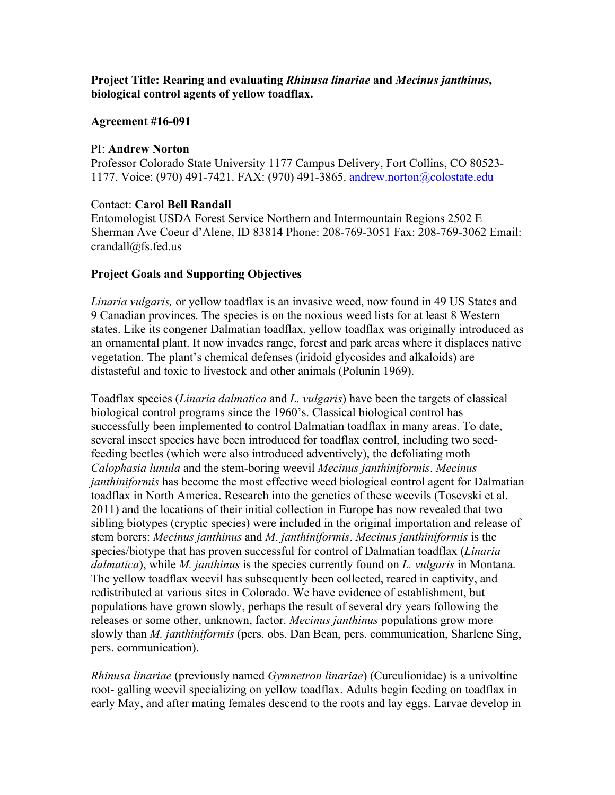# **Project Title: Rearing and evaluating** *Rhinusa linariae* **and** *Mecinus janthinus***, biological control agents of yellow toadflax.**

## **Agreement #16-091**

#### PI: **Andrew Norton**

Professor Colorado State University 1177 Campus Delivery, Fort Collins, CO 80523- 1177. Voice: (970) 491-7421. FAX: (970) 491-3865. andrew.norton@colostate.edu

## Contact: **Carol Bell Randall**

 crandall@fs.fed.us Entomologist USDA Forest Service Northern and Intermountain Regions 2502 E Sherman Ave Coeur d'Alene, ID 83814 Phone: 208-769-3051 Fax: 208-769-3062 Email:

## **Project Goals and Supporting Objectives**

*Linaria vulgaris,* or yellow toadflax is an invasive weed, now found in 49 US States and 9 Canadian provinces. The species is on the noxious weed lists for at least 8 Western states. Like its congener Dalmatian toadflax, yellow toadflax was originally introduced as an ornamental plant. It now invades range, forest and park areas where it displaces native vegetation. The plant's chemical defenses (iridoid glycosides and alkaloids) are distasteful and toxic to livestock and other animals (Polunin 1969).

Toadflax species (*Linaria dalmatica* and *L. vulgaris*) have been the targets of classical biological control programs since the 1960's. Classical biological control has successfully been implemented to control Dalmatian toadflax in many areas. To date, several insect species have been introduced for toadflax control, including two seedfeeding beetles (which were also introduced adventively), the defoliating moth *Calophasia lunula* and the stem-boring weevil *Mecinus janthiniformis*. *Mecinus janthiniformis* has become the most effective weed biological control agent for Dalmatian toadflax in North America. Research into the genetics of these weevils (Tosevski et al. 2011) and the locations of their initial collection in Europe has now revealed that two sibling biotypes (cryptic species) were included in the original importation and release of stem borers: *Mecinus janthinus* and *M. janthiniformis*. *Mecinus janthiniformis* is the species/biotype that has proven successful for control of Dalmatian toadflax (*Linaria dalmatica*), while *M. janthinus* is the species currently found on *L. vulgaris* in Montana. The yellow toadflax weevil has subsequently been collected, reared in captivity, and redistributed at various sites in Colorado. We have evidence of establishment, but populations have grown slowly, perhaps the result of several dry years following the releases or some other, unknown, factor. *Mecinus janthinus* populations grow more slowly than *M. janthiniformis* (pers. obs. Dan Bean, pers. communication, Sharlene Sing, pers. communication).

*Rhinusa linariae* (previously named *Gymnetron linariae*) (Curculionidae) is a univoltine root- galling weevil specializing on yellow toadflax. Adults begin feeding on toadflax in early May, and after mating females descend to the roots and lay eggs. Larvae develop in